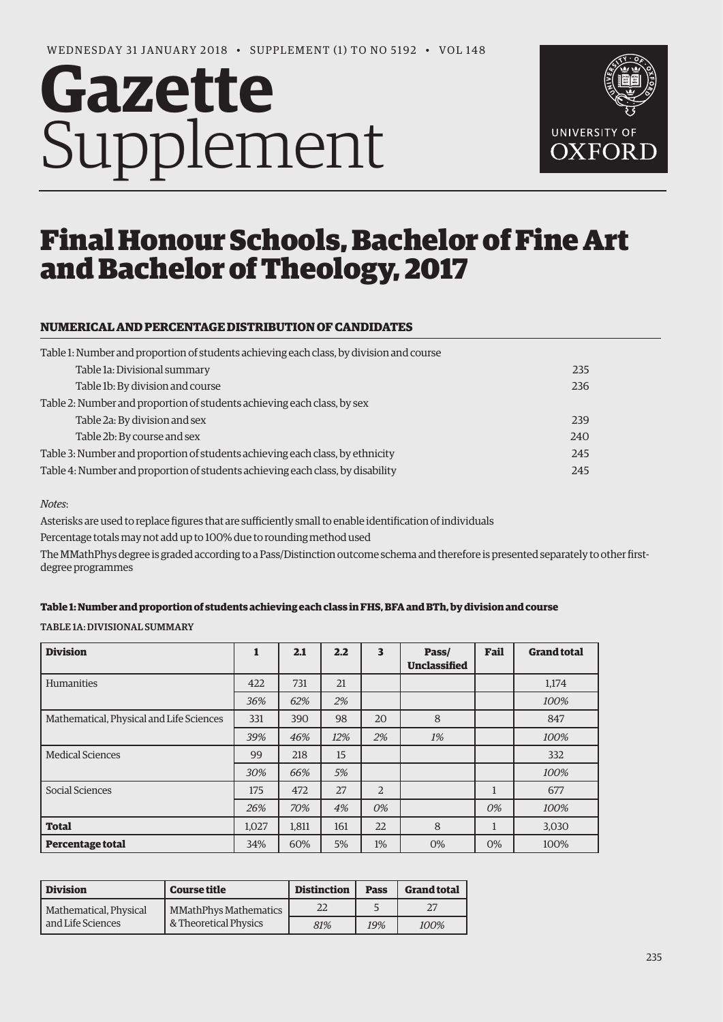# **Gazette** Supplement



# Final Honour Schools, Bachelor of Fine Art and Bachelor of Theology, 2017

## **NUMERICAL AND PERCENTAGE DISTRIBUTION OF CANDIDATES**

| Table 1: Number and proportion of students achieving each class, by division and course |     |
|-----------------------------------------------------------------------------------------|-----|
| Table 1a: Divisional summary                                                            | 235 |
| Table 1b: By division and course                                                        | 236 |
| Table 2: Number and proportion of students achieving each class, by sex                 |     |
| Table 2a: By division and sex                                                           | 239 |
| Table 2b: By course and sex                                                             | 240 |
| Table 3: Number and proportion of students achieving each class, by ethnicity           | 245 |
| Table 4: Number and proportion of students achieving each class, by disability          | 245 |

#### *Notes*:

Asterisks are used to replace figures that are sufficiently small to enable identification of individuals

Percentage totals may not add up to 100% due to rounding method used

The MMathPhys degree is graded according to a Pass/Distinction outcome schema and therefore is presented separately to other firstdegree programmes

#### **Table 1: Number and proportion of students achieving each class in FHS, BFA and BTh, by division and course**

TABLE 1A: DIVISIONAL SUMMARY

| <b>Division</b>                          | 1     | 2.1   | 2.2 | 3              | Pass/<br><b>Unclassified</b> | Fail | <b>Grand total</b> |
|------------------------------------------|-------|-------|-----|----------------|------------------------------|------|--------------------|
| Humanities                               | 422   | 731   | 21  |                |                              |      | 1,174              |
|                                          | 36%   | 62%   | 2%  |                |                              |      | 100%               |
| Mathematical, Physical and Life Sciences | 331   | 390   | 98  | 20             | 8                            |      | 847                |
|                                          | 39%   | 46%   | 12% | 2%             | 1%                           |      | 100%               |
| <b>Medical Sciences</b>                  | 99    | 218   | 15  |                |                              |      | 332                |
|                                          | 30%   | 66%   | 5%  |                |                              |      | 100%               |
| Social Sciences                          | 175   | 472   | 27  | $\overline{2}$ |                              | 1    | 677                |
|                                          | 26%   | 70%   | 4%  | 0%             |                              | 0%   | 100%               |
| <b>Total</b>                             | 1,027 | 1,811 | 161 | 22             | 8                            |      | 3,030              |
| <b>Percentage total</b>                  | 34%   | 60%   | 5%  | $1\%$          | 0%                           | 0%   | 100%               |

| <b>Division</b>        | <b>Course title</b>   | <b>Distinction</b> | <b>Pass</b> | <b>Grand total</b> |
|------------------------|-----------------------|--------------------|-------------|--------------------|
| Mathematical, Physical | MMathPhys Mathematics | 22                 |             |                    |
| and Life Sciences      | & Theoretical Physics | 81%                | 19%         | 100%               |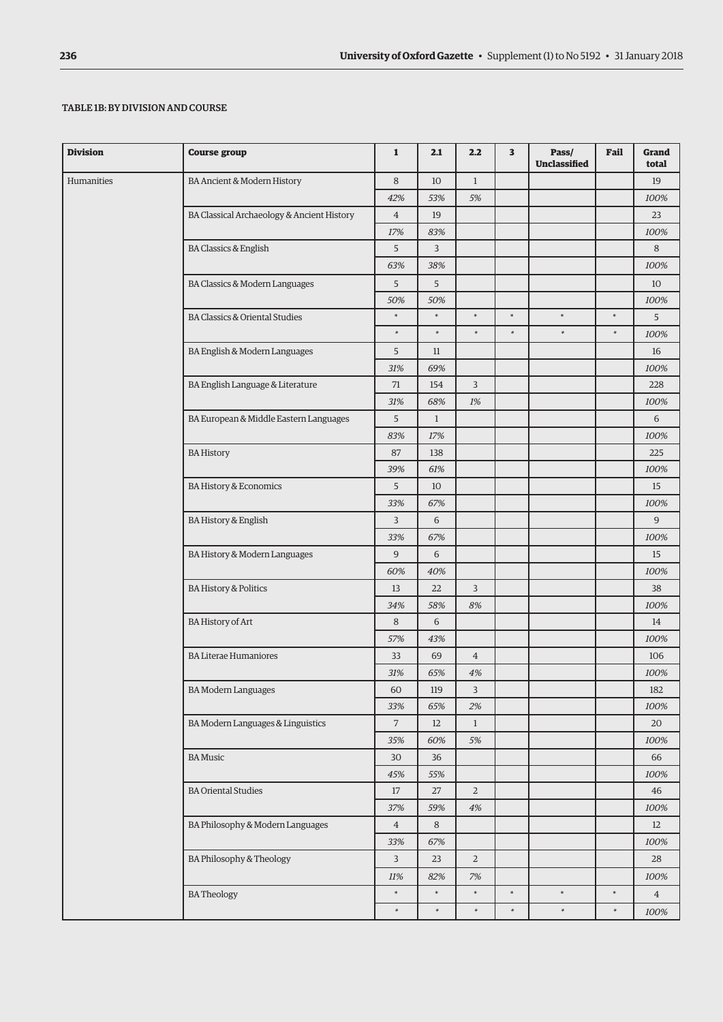### TABLE 1B: BY DIVISION AND COURSE

| <b>Division</b> | <b>Course group</b>                        | $\mathbf{1}$   | 2.1           | 2.2            | 3      | Pass/<br><b>Unclassified</b> | Fail   | Grand<br>total |
|-----------------|--------------------------------------------|----------------|---------------|----------------|--------|------------------------------|--------|----------------|
| Humanities      | BA Ancient & Modern History                | 8              | 10            | $\mathbf{1}$   |        |                              |        | 19             |
|                 |                                            | 42%            | 53%           | 5%             |        |                              |        | 100%           |
|                 | BA Classical Archaeology & Ancient History | $\overline{4}$ | 19            |                |        |                              |        | 23             |
|                 |                                            | 17%            | 83%           |                |        |                              |        | 100%           |
|                 | <b>BA Classics &amp; English</b>           | 5              | 3             |                |        |                              |        | 8              |
|                 |                                            | 63%            | 38%           |                |        |                              |        | 100%           |
|                 | BA Classics & Modern Languages             | 5              | 5             |                |        |                              |        | 10             |
|                 |                                            | 50%            | 50%           |                |        |                              |        | 100%           |
|                 | <b>BA Classics &amp; Oriental Studies</b>  | $\ast$         | $\ast$        | $\ast$         | $\ast$ | $\ast$                       | $\ast$ | 5              |
|                 |                                            | $\ast$         | $\ast$        | $\ast$         | $\ast$ | $\ast$                       | $\ast$ | 100%           |
|                 | BA English & Modern Languages              | 5              | 11            |                |        |                              |        | 16             |
|                 |                                            | 31%            | 69%           |                |        |                              |        | 100%           |
|                 | BA English Language & Literature           | 71             | 154           | $\overline{3}$ |        |                              |        | 228            |
|                 |                                            | 31%            | 68%           | 1%             |        |                              |        | 100%           |
|                 | BA European & Middle Eastern Languages     | 5              | $\mathbf{1}$  |                |        |                              |        | 6              |
|                 |                                            | 83%            | 17%           |                |        |                              |        | 100%           |
|                 | <b>BA History</b>                          | 87             | 138           |                |        |                              |        | 225            |
|                 |                                            | 39%            | 61%           |                |        |                              |        | 100%           |
|                 | <b>BA History &amp; Economics</b>          | 5              | 10            |                |        |                              |        | 15             |
|                 |                                            | 33%            | 67%           |                |        |                              |        | 100%           |
|                 | BA History & English                       | 3              | 6             |                |        |                              |        | 9              |
|                 |                                            | 33%            | 67%           |                |        |                              |        | 100%           |
|                 | BA History & Modern Languages              | 9              | 6             |                |        |                              |        | 15             |
|                 |                                            | 60%            | 40%           |                |        |                              |        | 100%           |
|                 | <b>BA History &amp; Politics</b>           | 13             | 22            | $\overline{3}$ |        |                              |        | 38             |
|                 |                                            | 34%            | 58%           | 8%             |        |                              |        | 100%           |
|                 | <b>BA History of Art</b>                   | 8              | 6             |                |        |                              |        | 14             |
|                 |                                            | 57%            | 43%           |                |        |                              |        | 100%           |
|                 | <b>BA Literae Humaniores</b>               | 33             | 69            | $\overline{4}$ |        |                              |        | 106            |
|                 |                                            | 31%            | 65%           | 4%             |        |                              |        | 100%           |
|                 | <b>BA Modern Languages</b>                 | 60             | 119           | 3              |        |                              |        | 182            |
|                 |                                            | 33%            | 65%           | 2%             |        |                              |        | 100%           |
|                 | BA Modern Languages & Linguistics          | 7              | 12            | $\mathbf{1}$   |        |                              |        | 20             |
|                 |                                            | 35%            | 60%           | 5%             |        |                              |        | 100%           |
|                 | <b>BA</b> Music                            | 30             | 36            |                |        |                              |        | 66             |
|                 |                                            | 45%            | 55%           |                |        |                              |        | 100%           |
|                 | <b>BA Oriental Studies</b>                 | $17\,$         | 27            | $\overline{2}$ |        |                              |        | 46             |
|                 |                                            | 37%            | 59%           | 4%             |        |                              |        | 100%           |
|                 | BA Philosophy & Modern Languages           | $\overline{4}$ | 8             |                |        |                              |        | 12             |
|                 |                                            | 33%            | 67%           |                |        |                              |        | 100%           |
|                 | BA Philosophy & Theology                   | 3              | 23            | $\overline{2}$ |        |                              |        | 28             |
|                 |                                            |                |               |                |        |                              |        |                |
|                 |                                            | 11%<br>$\ast$  | 82%<br>$\ast$ | 7%<br>$\ast$   | $\ast$ | $\ast$                       | $\ast$ | 100%           |
|                 | <b>BATheology</b>                          |                |               | $\ast$         |        | $\ast$                       |        | $\overline{4}$ |
|                 |                                            | $\ast$         | $\ast$        |                | $\ast$ |                              | $\ast$ | 100%           |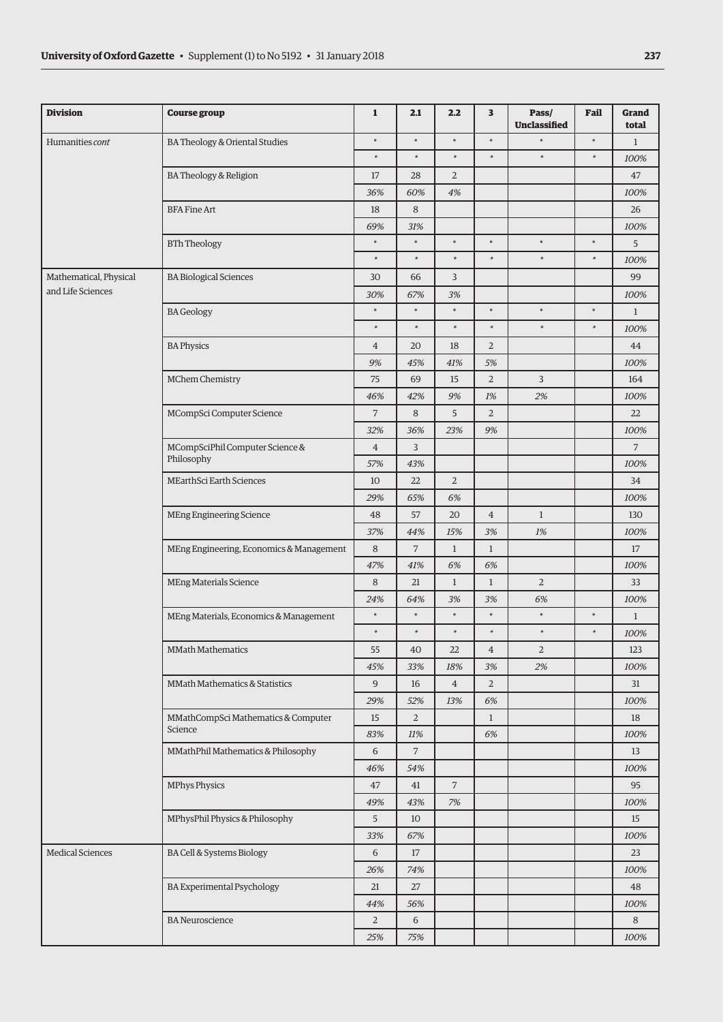| <b>Division</b>         | <b>Course group</b>                      | $\mathbf{1}$   | 2.1            | 2.2            | 3              | Pass/<br><b>Unclassified</b> | Fail   | <b>Grand</b><br>total |
|-------------------------|------------------------------------------|----------------|----------------|----------------|----------------|------------------------------|--------|-----------------------|
| Humanities cont         | BA Theology & Oriental Studies           | $\ast$         | $\ast$         | $\ast$         | $\ast$         | *                            | $\ast$ | $\mathbf{1}$          |
|                         |                                          | $\ast$         | $\ast$         | $\ast$         | $\ast$         | $\ast$                       | $\ast$ | 100%                  |
|                         | BA Theology & Religion                   | 17             | 28             | $\overline{a}$ |                |                              |        | 47                    |
|                         |                                          | 36%            | 60%            | 4%             |                |                              |        | 100%                  |
|                         | <b>BFA Fine Art</b>                      | 18             | 8              |                |                |                              |        | 26                    |
|                         |                                          | 69%            | 31%            |                |                |                              |        | 100%                  |
|                         | <b>BTh Theology</b>                      | $\ast$         | $\ast$         | $\ast$         | $\ast$         | $\ast$                       | $\ast$ | 5                     |
|                         |                                          | $\ast$         | $\ast$         | $\ast$         | $\ast$         | $\ast$                       | $\ast$ | 100%                  |
| Mathematical, Physical  | <b>BA Biological Sciences</b>            | 30             | 66             | 3              |                |                              |        | 99                    |
| and Life Sciences       |                                          | 30%            | 67%            | 3%             |                |                              |        | 100%                  |
|                         | <b>BA</b> Geology                        | $\ast$         | $\ast$         | $\ast$         | $\ast$         | $\ast$                       | $\ast$ | $\mathbf{1}$          |
|                         |                                          | $\ast$         | $\ast$         | $\ast$         | $\ast$         | $\ast$                       | $\ast$ | 100%                  |
|                         | <b>BA Physics</b>                        | $\overline{4}$ | 20             | 18             | $\overline{2}$ |                              |        | 44                    |
|                         |                                          | 9%             | 45%            | 41%            | 5%             |                              |        | 100%                  |
|                         | MChem Chemistry                          | 75             | 69             | 15             | $\mathbf 2$    | 3                            |        | 164                   |
|                         |                                          | 46%            | 42%            | 9%             | $1\%$          | 2%                           |        | 100%                  |
|                         | MCompSci Computer Science                | $\overline{7}$ | 8              | 5              | $\overline{2}$ |                              |        | 22                    |
|                         |                                          | 32%            | 36%            | 23%            | 9%             |                              |        | 100%                  |
|                         | MCompSciPhil Computer Science &          | $\overline{4}$ | 3              |                |                |                              |        | $\overline{7}$        |
|                         | Philosophy                               | 57%            | 43%            |                |                |                              |        | 100%                  |
|                         | MEarthSci Earth Sciences                 | 10             | 22             | $\overline{2}$ |                |                              |        | 34                    |
|                         |                                          | 29%            | 65%            | 6%             |                |                              |        | 100%                  |
|                         | MEng Engineering Science                 | 48             | 57             | 20             | $\overline{4}$ | $\mathbf{1}$                 |        | 130                   |
|                         |                                          | 37%            | 44%            | 15%            | 3%             | 1%                           |        | 100%                  |
|                         | MEng Engineering, Economics & Management | 8              | $\overline{7}$ | $\mathbf{1}$   | $\mathbf{1}$   |                              |        | 17                    |
|                         |                                          | 47%            | 41%            | 6%             | 6%             |                              |        | 100%                  |
|                         | <b>MEng Materials Science</b>            | 8              | 21             | $\mathbf{1}$   | $\mathbf{1}$   | $\overline{2}$               |        | 33                    |
|                         |                                          | 24%            | 64%            | 3%             | 3%             | 6%                           |        | 100%                  |
|                         | MEng Materials, Economics & Management   | $\ast$         | $\ast$         | $\ast$         | $\ast$         | $\ast$                       | $\ast$ | $\mathbf{1}$          |
|                         |                                          | $\ast$         | *              | $\ast$         | $\ast$         | $\ast$                       | *      | 100%                  |
|                         | <b>MMath Mathematics</b>                 | 55             | 40             | 22             | $\,4\,$        | $\overline{2}$               |        | 123                   |
|                         |                                          | 45%            | 33%            | 18%            | 3%             | 2%                           |        | 100%                  |
|                         | MMath Mathematics & Statistics           | $\overline{9}$ | 16             | $\overline{4}$ | $\sqrt{2}$     |                              |        | 31                    |
|                         |                                          | 29%            | 52%            | 13%            | 6%             |                              |        | 100%                  |
|                         | MMathCompSci Mathematics & Computer      | 15             | $\overline{2}$ |                | $\mathbf{1}$   |                              |        | 18                    |
|                         | Science                                  | 83%            | 11%            |                | 6%             |                              |        | 100%                  |
|                         | MMathPhil Mathematics & Philosophy       | 6              | $\overline{7}$ |                |                |                              |        | 13                    |
|                         |                                          | 46%            | 54%            |                |                |                              |        | 100%                  |
|                         | MPhys Physics                            | 47             | 41             | $\overline{7}$ |                |                              |        | 95                    |
|                         |                                          | 49%            | 43%            | 7%             |                |                              |        | 100%                  |
|                         | MPhysPhil Physics & Philosophy           | 5              | 10             |                |                |                              |        | 15                    |
|                         |                                          | 33%            | 67%            |                |                |                              |        | 100%                  |
| <b>Medical Sciences</b> | BA Cell & Systems Biology                | 6              | 17             |                |                |                              |        | 23                    |
|                         |                                          | 26%            | 74%            |                |                |                              |        | 100%                  |
|                         | <b>BA Experimental Psychology</b>        | 21             | 27             |                |                |                              |        | 48                    |
|                         |                                          | 44%            | 56%            |                |                |                              |        | 100%                  |
|                         | <b>BA</b> Neuroscience                   | $\overline{2}$ | 6              |                |                |                              |        | $\,8\,$               |
|                         |                                          | 25%            | 75%            |                |                |                              |        | 100%                  |
|                         |                                          |                |                |                |                |                              |        |                       |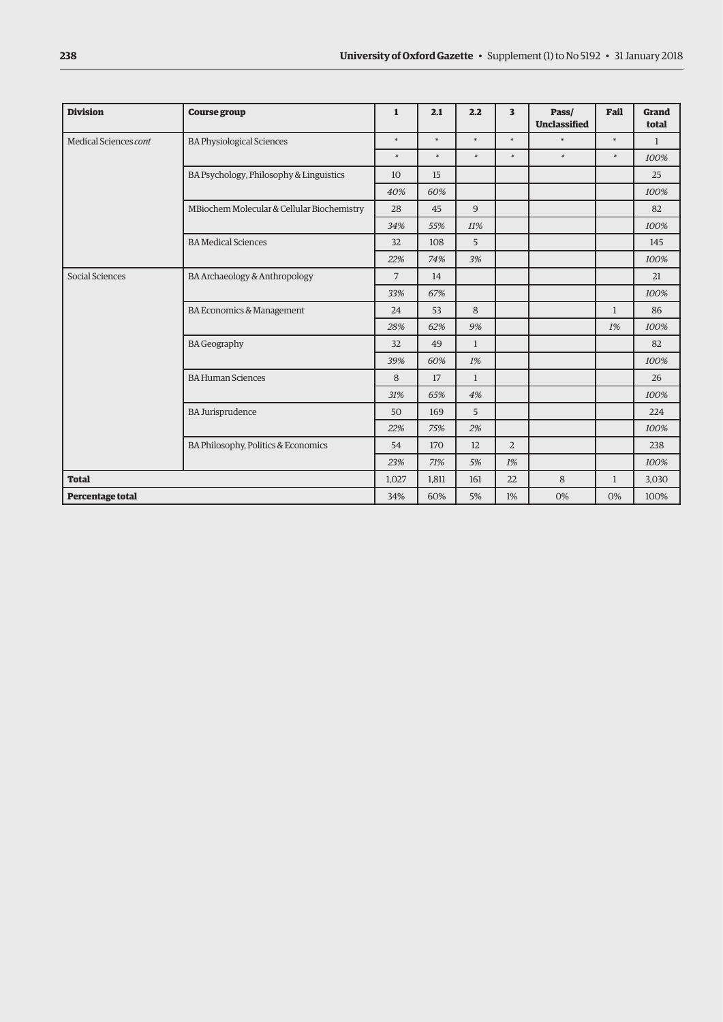| <b>Division</b>       | <b>Course group</b>                        | $\mathbf{1}$   | 2.1    | 2.2          | 3              | Pass/<br><b>Unclassified</b> | Fail         | Grand<br>total |
|-----------------------|--------------------------------------------|----------------|--------|--------------|----------------|------------------------------|--------------|----------------|
| Medical Sciences cont | <b>BA Physiological Sciences</b>           | $\ast$         | $\ast$ | $\ast$       | $\ast$         | $\ast$                       | $\ast$       | $\mathbf{1}$   |
|                       |                                            | $\ast$         | $\ast$ | $\ast$       | $\ast$         | $\ast$                       | $\ast$       | 100%           |
|                       | BA Psychology, Philosophy & Linguistics    | 10             | 15     |              |                |                              |              | 25             |
|                       |                                            | 40%            | 60%    |              |                |                              |              | 100%           |
|                       | MBiochem Molecular & Cellular Biochemistry | 28             | 45     | 9            |                |                              |              | 82             |
|                       |                                            | 34%            | 55%    | 11%          |                |                              |              | 100%           |
|                       | <b>BA Medical Sciences</b>                 | 32             | 108    | 5            |                |                              |              | 145            |
|                       |                                            | 22%            | 74%    | 3%           |                |                              |              | 100%           |
| Social Sciences       | BA Archaeology & Anthropology              | $\overline{7}$ | 14     |              |                |                              |              | 21             |
|                       |                                            |                | 67%    |              |                |                              |              | 100%           |
|                       | <b>BA Economics &amp; Management</b>       | 24             | 53     | 8            |                |                              | $\mathbf{1}$ | 86             |
|                       |                                            | 28%            | 62%    | 9%           |                |                              | 1%           | 100%           |
|                       | <b>BA Geography</b>                        | 32             | 49     | $\mathbf{1}$ |                |                              |              | 82             |
|                       |                                            | 39%            | 60%    | 1%           |                |                              |              | 100%           |
|                       | <b>BA Human Sciences</b>                   | 8              | 17     | $\mathbf{1}$ |                |                              |              | 26             |
|                       |                                            | 31%            | 65%    | 4%           |                |                              |              | 100%           |
|                       | <b>BA Jurisprudence</b>                    | 50             | 169    | 5            |                |                              |              | 224            |
|                       |                                            | 22%            | 75%    | 2%           |                |                              |              | 100%           |
|                       | BA Philosophy, Politics & Economics        | 54             | 170    | 12           | $\overline{2}$ |                              |              | 238            |
|                       |                                            | 23%            | 71%    | 5%           | 1%             |                              |              | 100%           |
| <b>Total</b>          |                                            | 1,027          | 1,811  | 161          | 22             | 8                            | $\mathbf{1}$ | 3,030          |
| Percentage total      |                                            | 34%            | 60%    | 5%           | 1%             | 0%                           | 0%           | 100%           |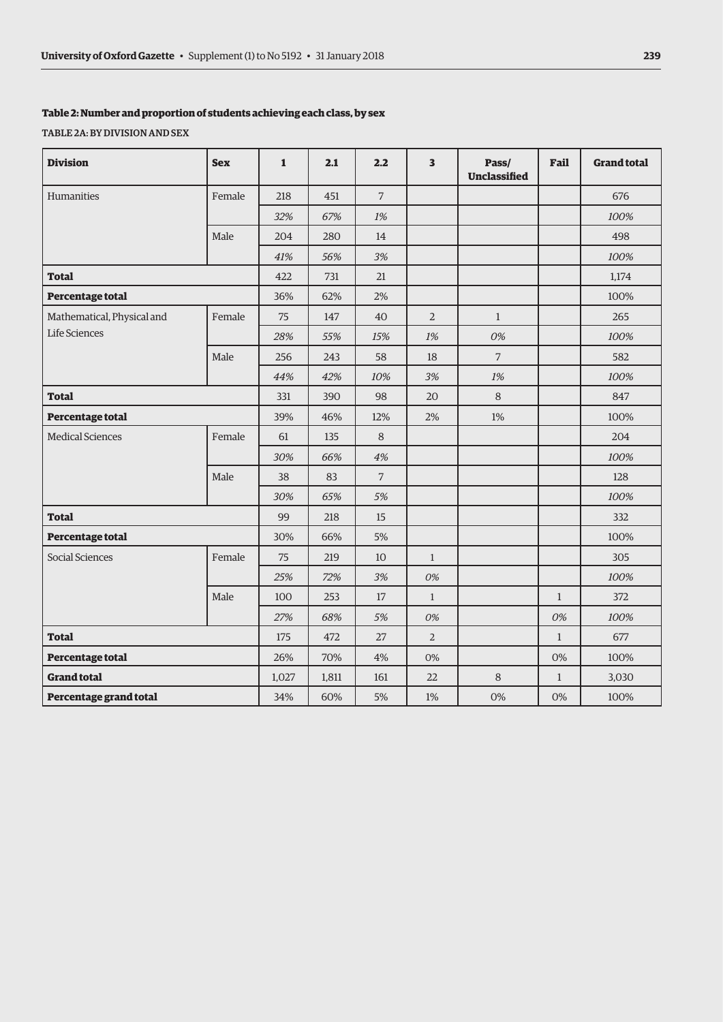#### **Table 2: Number and proportion of students achieving each class, by sex**

TABLE 2A: BY DIVISION AND SEX

| <b>Division</b>            | <b>Sex</b> | $\mathbf{1}$ | 2.1   | 2.2            | $\overline{\mathbf{3}}$ | Pass/<br>Unclassified | Fail         | <b>Grand total</b> |
|----------------------------|------------|--------------|-------|----------------|-------------------------|-----------------------|--------------|--------------------|
| Humanities                 | Female     | 218          | 451   | $\overline{7}$ |                         |                       |              | 676                |
|                            |            | 32%          | 67%   | 1%             |                         |                       |              | 100%               |
|                            | Male       | 204          | 280   | 14             |                         |                       |              | 498                |
|                            |            | 41%          | 56%   | 3%             |                         |                       |              | 100%               |
| <b>Total</b>               |            | 422          | 731   | 21             |                         |                       |              | 1,174              |
| Percentage total           |            | 36%          | 62%   | 2%             |                         |                       |              | 100%               |
| Mathematical, Physical and | Female     | 75           | 147   | 40             | $\overline{2}$          | $\mathbf{1}$          |              | 265                |
| Life Sciences              |            | 28%          | 55%   | 15%            | 1%                      | 0%                    |              | 100%               |
|                            | Male       | 256          | 243   | 58             | 18                      | $\overline{7}$        |              | 582                |
|                            |            | 44%          | 42%   | 10%            | 3%                      | 1%                    |              | 100%               |
| <b>Total</b>               |            | 331          | 390   | 98             | 20                      | 8                     |              | 847                |
| Percentage total           |            | 39%          | 46%   | 12%            | 2%                      | $1\%$                 |              | 100%               |
| <b>Medical Sciences</b>    | Female     | 61           | 135   | 8              |                         |                       |              | 204                |
|                            |            | 30%          | 66%   | 4%             |                         |                       |              | 100%               |
|                            | Male       | 38           | 83    | $\overline{7}$ |                         |                       |              | 128                |
|                            |            | 30%          | 65%   | 5%             |                         |                       |              | 100%               |
| <b>Total</b>               |            | 99           | 218   | 15             |                         |                       |              | 332                |
| Percentage total           |            | 30%          | 66%   | 5%             |                         |                       |              | 100%               |
| Social Sciences            | Female     | 75           | 219   | 10             | $\mathbf{1}$            |                       |              | 305                |
|                            |            | 25%          | 72%   | 3%             | 0%                      |                       |              | 100%               |
|                            | Male       | 100          | 253   | 17             | $\mathbf{1}$            |                       | $\mathbf{1}$ | 372                |
|                            |            | 27%          | 68%   | 5%             | 0%                      |                       | 0%           | 100%               |
| <b>Total</b>               |            | 175          | 472   | 27             | $\overline{2}$          |                       | $\mathbf{1}$ | 677                |
| Percentage total           |            | 26%          | 70%   | 4%             | 0%                      |                       | 0%           | 100%               |
| <b>Grand total</b>         |            | 1,027        | 1,811 | 161            | 22                      | $\,8\,$               | $\mathbf{1}$ | 3,030              |
| Percentage grand total     |            | 34%          | 60%   | 5%             | 1%                      | 0%                    | 0%           | 100%               |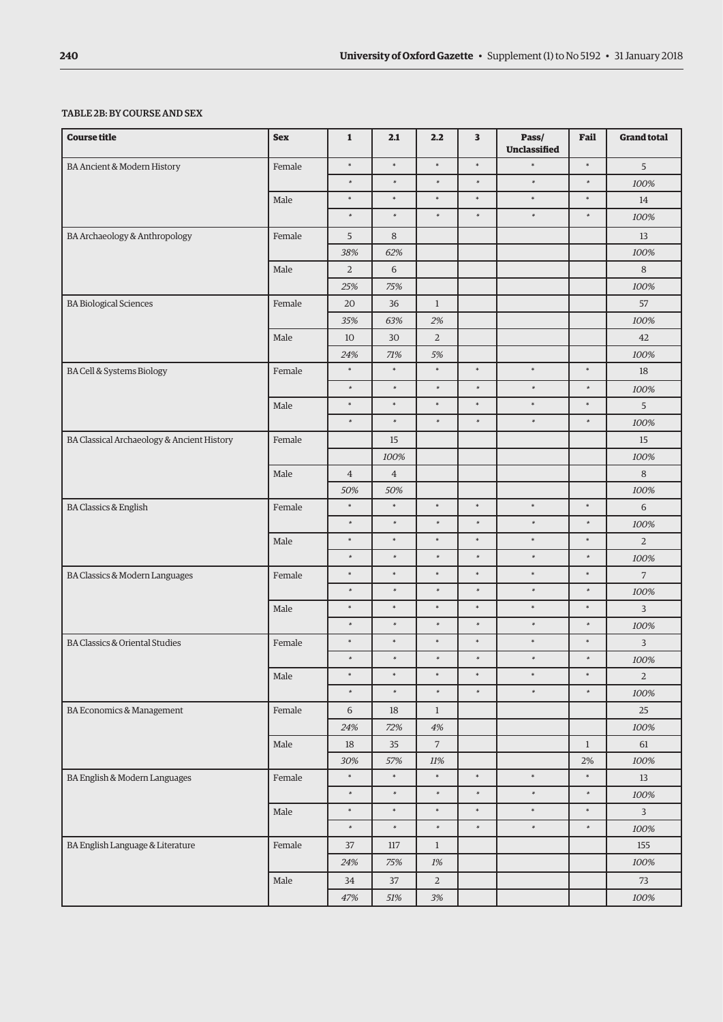### TABLE 2B: BY COURSE AND SEX

| <b>Course title</b>                        | <b>Sex</b> | $\mathbf 1$    | 2.1            | 2.2            | 3      | Pass/<br>Unclassified | Fail         | <b>Grand total</b> |
|--------------------------------------------|------------|----------------|----------------|----------------|--------|-----------------------|--------------|--------------------|
| BA Ancient & Modern History                | Female     | $\ast$         | $\ast$         | $\ast$         | $\ast$ | $\ast$                | $\ast$       | 5                  |
|                                            |            | $\ast$         | $\ast$         | $\ast$         | $\ast$ | $\ast$                | $\ast$       | 100%               |
|                                            | Male       | $\ast$         | $\ast$         | $\ast$         | $\ast$ | $\ast$                | $\ast$       | 14                 |
|                                            |            | $\ast$         | $\ast$         | $\ast$         | $\ast$ | $\ast$                | $\ast$       | 100%               |
| BA Archaeology & Anthropology              | Female     | 5              | 8              |                |        |                       |              | 13                 |
|                                            |            | 38%            | 62%            |                |        |                       |              | 100%               |
|                                            | Male       | $\overline{2}$ | 6              |                |        |                       |              | 8                  |
|                                            |            | 25%            | 75%            |                |        |                       |              | 100%               |
| <b>BA Biological Sciences</b>              | Female     | 20             | 36             | $\mathbf{1}$   |        |                       |              | 57                 |
|                                            |            | 35%            | 63%            | 2%             |        |                       |              | 100%               |
|                                            | Male       | 10             | 30             | $\overline{2}$ |        |                       |              | 42                 |
|                                            |            | 24%            | 71%            | 5%             |        |                       |              | 100%               |
| <b>BA Cell &amp; Systems Biology</b>       | Female     | $\ast$         | $\ast$         | $\ast$         | $\ast$ | $\ast$                | $\ast$       | 18                 |
|                                            |            | $\ast$         | $\ast$         | $\ast$         | $\ast$ | $\ast$                | $\ast$       | 100%               |
|                                            | Male       | $\ast$         | $\ast$         | $\ast$         | $\ast$ | $\ast$                | $\ast$       | 5                  |
|                                            |            | $\ast$         | $\ast$         | $\ast$         | $\ast$ | $\ast$                | $\ast$       | 100%               |
| BA Classical Archaeology & Ancient History | Female     |                | 15             |                |        |                       |              | 15                 |
|                                            |            |                | 100%           |                |        |                       |              | 100%               |
|                                            | Male       | $\overline{4}$ | $\overline{4}$ |                |        |                       |              | 8                  |
|                                            |            | 50%            | 50%            |                |        |                       |              | 100%               |
| <b>BA Classics &amp; English</b>           | Female     | $\ast$         | $\ast$         | $\ast$         | $\ast$ | $\ast$                | $\ast$       | 6                  |
|                                            |            | $\ast$         | $\ast$         | $\ast$         | $\ast$ | $\ast$                | $\ast$       | 100%               |
|                                            | Male       | $\ast$         | $\ast$         | $\ast$         | $\ast$ | $\ast$                | $\ast$       | $\overline{2}$     |
|                                            |            | $\ast$         | $\ast$         | $\ast$         | $\ast$ | $\ast$                | $\ast$       | 100%               |
| BA Classics & Modern Languages             | Female     | $\ast$         | $\ast$         | $\ast$         | $\ast$ | $\ast$                | $\ast$       | $\overline{7}$     |
|                                            |            | $\ast$         | $\ast$         | $\ast$         | $\ast$ | $\ast$                | $\ast$       | 100%               |
|                                            | Male       | $\ast$         | $\ast$         | $\ast$         | $\ast$ | $\ast$                | $\ast$       | 3                  |
|                                            |            | $\ast$         | $\ast$         | $\ast$         | $\ast$ | $\ast$                | $\ast$       | 100%               |
| <b>BA Classics &amp; Oriental Studies</b>  | Female     | $\ast$         | $\ast$         | $\ast$         | $\ast$ | $\ast$                | $\ast$       | 3                  |
|                                            |            | $\ast$         | $\ast$         | $\ast$         | $\ast$ | $\ast$                | $\ast$       | 100%               |
|                                            | Male       | $\ast$         | $\ast$         | $\ast$         | $\ast$ | $\ast$                | $\ast$       | $\overline{a}$     |
|                                            |            | $\ast$         | $\ast$         | $\ast$         | $\ast$ | $\ast$                | $\ast$       | 100%               |
| BA Economics & Management                  | Female     | $\sqrt{6}$     | $18\,$         | $\mathbf{1}$   |        |                       |              | 25                 |
|                                            |            | $24\%$         | $72\%$         | $4\%$          |        |                       |              | $100\%$            |
|                                            | Male       | 18             | 35             | $\overline{7}$ |        |                       | $\mathbf{1}$ | 61                 |
|                                            |            | $30\%$         | 57%            | $11\%$         |        |                       | $2\%$        | $100\%$            |
| BA English & Modern Languages              | Female     | $\ast$         | $\ast$         | $\ast$         | $\ast$ | $\ast$                | $\ast$       | $13\,$             |
|                                            |            | $\ast$         | $\ast$         | $\ast$         | $\ast$ | $\ast$                | $\ast$       | 100%               |
|                                            | Male       | $\ast$         | $\ast$         | $\ast$         | $\ast$ | $\ast$                | $\ast$       | $\mathbf{3}$       |
|                                            |            | $\ast$         | $\ast$         | $\ast$         | $\ast$ | $\ast$                | $\ast$       | $100\%$            |
| BA English Language & Literature           | Female     | $37\,$         | 117            | $\mathbf{1}$   |        |                       |              | 155                |
|                                            |            | $24\%$         | 75%            | $1\%$          |        |                       |              | 100%               |
|                                            | Male       | 34             | $37\,$         | $\sqrt{2}$     |        |                       |              | 73                 |
|                                            |            | $47\%$         | $51\%$         | $3\%$          |        |                       |              | $100\%$            |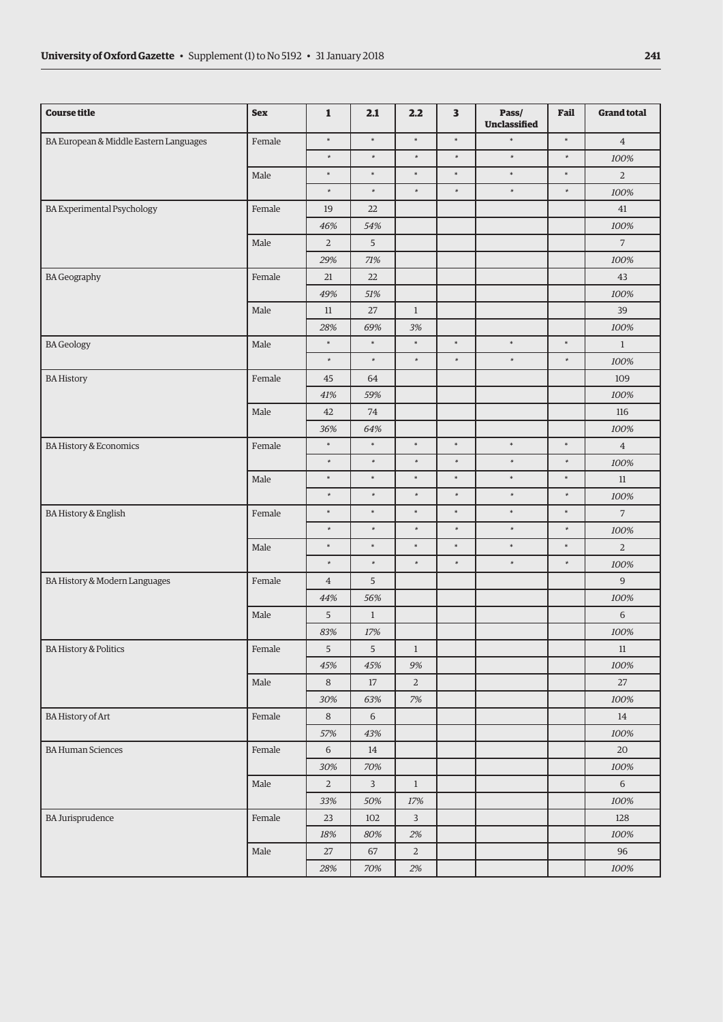| $\ast$<br>$\ast$<br>$\ast$<br>$\ast$<br>$\ast$<br>$\ast$<br>BA European & Middle Eastern Languages<br>Female<br>$\overline{4}$<br>$\ast$<br>$\ast$<br>$\ast$<br>$\ast$<br>$\ast$<br>$\ast$<br>100%<br>$\ast$<br>$\ast$<br>$\ast$<br>$\ast$<br>$\ast$<br>$\ast$<br>Male<br>$\overline{2}$<br>$\ast$<br>$\ast$<br>$\ast$<br>$\ast$<br>$\ast$<br>$\ast$<br>100%<br><b>BA Experimental Psychology</b><br>Female<br>22<br>41<br>19<br>100%<br>46%<br>54%<br>5<br>$\overline{7}$<br>Male<br>$\overline{2}$<br>29%<br>71%<br>100%<br><b>BA Geography</b><br>Female<br>43<br>21<br>22<br>49%<br>51%<br>100%<br>39<br>Male<br>11<br>27<br>$\mathbf{1}$<br>3%<br>$100\%$<br>28%<br>69%<br>$\ast$<br>$\ast$<br>$\ast$<br>$\ast$<br>$\ast$<br>$\ast$<br><b>BA</b> Geology<br>Male<br>$1\,$<br>$\ast$<br>$\ast$<br>$\ast$<br>$\ast$<br>$\ast$<br>$\ast$<br>100%<br>109<br><b>BA History</b><br>Female<br>45<br>64<br>41%<br>59%<br>100%<br>Male<br>42<br>74<br>116<br>36%<br>64%<br>100%<br>$\ast$<br>$\ast$<br>$\ast$<br>$\ast$<br>$\ast$<br>$\ast$<br><b>BA History &amp; Economics</b><br>Female<br>$\overline{4}$<br>$\ast$<br>$\ast$<br>$\ast$<br>$\ast$<br>$\ast$<br>$\ast$<br>100%<br>$\ast$<br>$\ast$<br>$\ast$<br>$\ast$<br>$\ast$<br>$\ast$<br>Male<br>$11\,$<br>$\ast$<br>$\ast$<br>$\ast$<br>$\ast$<br>$\ast$<br>$\ast$<br>100%<br>$\ast$<br>$\ast$<br>$\ast$<br>$\ast$<br>$\ast$<br>$\overline{7}$<br>$\ast$<br><b>BA History &amp; English</b><br>Female<br>$\ast$<br>$\ast$<br>$\ast$<br>$\ast$<br>$\ast$<br>$\ast$<br>100%<br>$\ast$<br>$\ast$<br>$\ast$<br>$\ast$<br>$\ast$<br>$\ast$<br>Male<br>$\overline{2}$<br>$\ast$<br>$\ast$<br>$\ast$<br>$\ast$<br>$\ast$<br>$\ast$<br>100%<br>$\overline{9}$<br>BA History & Modern Languages<br>Female<br>5<br>$\overline{4}$<br>44%<br>56%<br>100%<br>6<br>Male<br>$5\phantom{.0}$<br>$\mathbf{1}$<br>83%<br>17%<br>100%<br><b>BA History &amp; Politics</b><br>Female<br>5<br>5<br>$\mathbf{1}$<br>$11\,$<br>100%<br>45%<br>45%<br>9%<br>$\overline{2}$<br>$\rm Male$<br>$\,8\,$<br>$17\,$<br>$27\,$<br>$7\%$<br>$100\%$<br>30%<br>63%<br><b>BA History of Art</b><br>Female<br>$\,8\,$<br>6<br>14<br>57%<br>43%<br>100%<br><b>BA Human Sciences</b><br>Female<br>6<br>20<br>14<br>30%<br>70%<br>100%<br>$\mathbf{3}$<br>$6\phantom{.}$<br>Male<br>$\overline{2}$<br>$\mathbf{1}$<br>$17\%$<br>$100\%$<br>33%<br>50%<br>$\overline{3}$<br><b>BA Jurisprudence</b><br>Female<br>23<br>$102\,$<br>128<br>$18\%$<br>80%<br>2%<br>100%<br>Male<br>$\sqrt{2}$<br>27<br>$67\,$<br>96<br>$100\%$<br>$28\%$<br>$70\%$<br>$2\%$ | <b>Course title</b> | <b>Sex</b> | $\mathbf{1}$ | 2.1 | 2.2 | 3 | Pass/<br>Unclassified | Fail | <b>Grand total</b> |
|------------------------------------------------------------------------------------------------------------------------------------------------------------------------------------------------------------------------------------------------------------------------------------------------------------------------------------------------------------------------------------------------------------------------------------------------------------------------------------------------------------------------------------------------------------------------------------------------------------------------------------------------------------------------------------------------------------------------------------------------------------------------------------------------------------------------------------------------------------------------------------------------------------------------------------------------------------------------------------------------------------------------------------------------------------------------------------------------------------------------------------------------------------------------------------------------------------------------------------------------------------------------------------------------------------------------------------------------------------------------------------------------------------------------------------------------------------------------------------------------------------------------------------------------------------------------------------------------------------------------------------------------------------------------------------------------------------------------------------------------------------------------------------------------------------------------------------------------------------------------------------------------------------------------------------------------------------------------------------------------------------------------------------------------------------------------------------------------------------------------------------------------------------------------------------------------------------------------------------------------------------------------------------------------------------------------------------------------------------------------------------------------------------------------------------------------------------------------------------------------------------------------------------------------------------------------|---------------------|------------|--------------|-----|-----|---|-----------------------|------|--------------------|
|                                                                                                                                                                                                                                                                                                                                                                                                                                                                                                                                                                                                                                                                                                                                                                                                                                                                                                                                                                                                                                                                                                                                                                                                                                                                                                                                                                                                                                                                                                                                                                                                                                                                                                                                                                                                                                                                                                                                                                                                                                                                                                                                                                                                                                                                                                                                                                                                                                                                                                                                                                        |                     |            |              |     |     |   |                       |      |                    |
|                                                                                                                                                                                                                                                                                                                                                                                                                                                                                                                                                                                                                                                                                                                                                                                                                                                                                                                                                                                                                                                                                                                                                                                                                                                                                                                                                                                                                                                                                                                                                                                                                                                                                                                                                                                                                                                                                                                                                                                                                                                                                                                                                                                                                                                                                                                                                                                                                                                                                                                                                                        |                     |            |              |     |     |   |                       |      |                    |
|                                                                                                                                                                                                                                                                                                                                                                                                                                                                                                                                                                                                                                                                                                                                                                                                                                                                                                                                                                                                                                                                                                                                                                                                                                                                                                                                                                                                                                                                                                                                                                                                                                                                                                                                                                                                                                                                                                                                                                                                                                                                                                                                                                                                                                                                                                                                                                                                                                                                                                                                                                        |                     |            |              |     |     |   |                       |      |                    |
|                                                                                                                                                                                                                                                                                                                                                                                                                                                                                                                                                                                                                                                                                                                                                                                                                                                                                                                                                                                                                                                                                                                                                                                                                                                                                                                                                                                                                                                                                                                                                                                                                                                                                                                                                                                                                                                                                                                                                                                                                                                                                                                                                                                                                                                                                                                                                                                                                                                                                                                                                                        |                     |            |              |     |     |   |                       |      |                    |
|                                                                                                                                                                                                                                                                                                                                                                                                                                                                                                                                                                                                                                                                                                                                                                                                                                                                                                                                                                                                                                                                                                                                                                                                                                                                                                                                                                                                                                                                                                                                                                                                                                                                                                                                                                                                                                                                                                                                                                                                                                                                                                                                                                                                                                                                                                                                                                                                                                                                                                                                                                        |                     |            |              |     |     |   |                       |      |                    |
|                                                                                                                                                                                                                                                                                                                                                                                                                                                                                                                                                                                                                                                                                                                                                                                                                                                                                                                                                                                                                                                                                                                                                                                                                                                                                                                                                                                                                                                                                                                                                                                                                                                                                                                                                                                                                                                                                                                                                                                                                                                                                                                                                                                                                                                                                                                                                                                                                                                                                                                                                                        |                     |            |              |     |     |   |                       |      |                    |
|                                                                                                                                                                                                                                                                                                                                                                                                                                                                                                                                                                                                                                                                                                                                                                                                                                                                                                                                                                                                                                                                                                                                                                                                                                                                                                                                                                                                                                                                                                                                                                                                                                                                                                                                                                                                                                                                                                                                                                                                                                                                                                                                                                                                                                                                                                                                                                                                                                                                                                                                                                        |                     |            |              |     |     |   |                       |      |                    |
|                                                                                                                                                                                                                                                                                                                                                                                                                                                                                                                                                                                                                                                                                                                                                                                                                                                                                                                                                                                                                                                                                                                                                                                                                                                                                                                                                                                                                                                                                                                                                                                                                                                                                                                                                                                                                                                                                                                                                                                                                                                                                                                                                                                                                                                                                                                                                                                                                                                                                                                                                                        |                     |            |              |     |     |   |                       |      |                    |
|                                                                                                                                                                                                                                                                                                                                                                                                                                                                                                                                                                                                                                                                                                                                                                                                                                                                                                                                                                                                                                                                                                                                                                                                                                                                                                                                                                                                                                                                                                                                                                                                                                                                                                                                                                                                                                                                                                                                                                                                                                                                                                                                                                                                                                                                                                                                                                                                                                                                                                                                                                        |                     |            |              |     |     |   |                       |      |                    |
|                                                                                                                                                                                                                                                                                                                                                                                                                                                                                                                                                                                                                                                                                                                                                                                                                                                                                                                                                                                                                                                                                                                                                                                                                                                                                                                                                                                                                                                                                                                                                                                                                                                                                                                                                                                                                                                                                                                                                                                                                                                                                                                                                                                                                                                                                                                                                                                                                                                                                                                                                                        |                     |            |              |     |     |   |                       |      |                    |
|                                                                                                                                                                                                                                                                                                                                                                                                                                                                                                                                                                                                                                                                                                                                                                                                                                                                                                                                                                                                                                                                                                                                                                                                                                                                                                                                                                                                                                                                                                                                                                                                                                                                                                                                                                                                                                                                                                                                                                                                                                                                                                                                                                                                                                                                                                                                                                                                                                                                                                                                                                        |                     |            |              |     |     |   |                       |      |                    |
|                                                                                                                                                                                                                                                                                                                                                                                                                                                                                                                                                                                                                                                                                                                                                                                                                                                                                                                                                                                                                                                                                                                                                                                                                                                                                                                                                                                                                                                                                                                                                                                                                                                                                                                                                                                                                                                                                                                                                                                                                                                                                                                                                                                                                                                                                                                                                                                                                                                                                                                                                                        |                     |            |              |     |     |   |                       |      |                    |
|                                                                                                                                                                                                                                                                                                                                                                                                                                                                                                                                                                                                                                                                                                                                                                                                                                                                                                                                                                                                                                                                                                                                                                                                                                                                                                                                                                                                                                                                                                                                                                                                                                                                                                                                                                                                                                                                                                                                                                                                                                                                                                                                                                                                                                                                                                                                                                                                                                                                                                                                                                        |                     |            |              |     |     |   |                       |      |                    |
|                                                                                                                                                                                                                                                                                                                                                                                                                                                                                                                                                                                                                                                                                                                                                                                                                                                                                                                                                                                                                                                                                                                                                                                                                                                                                                                                                                                                                                                                                                                                                                                                                                                                                                                                                                                                                                                                                                                                                                                                                                                                                                                                                                                                                                                                                                                                                                                                                                                                                                                                                                        |                     |            |              |     |     |   |                       |      |                    |
|                                                                                                                                                                                                                                                                                                                                                                                                                                                                                                                                                                                                                                                                                                                                                                                                                                                                                                                                                                                                                                                                                                                                                                                                                                                                                                                                                                                                                                                                                                                                                                                                                                                                                                                                                                                                                                                                                                                                                                                                                                                                                                                                                                                                                                                                                                                                                                                                                                                                                                                                                                        |                     |            |              |     |     |   |                       |      |                    |
|                                                                                                                                                                                                                                                                                                                                                                                                                                                                                                                                                                                                                                                                                                                                                                                                                                                                                                                                                                                                                                                                                                                                                                                                                                                                                                                                                                                                                                                                                                                                                                                                                                                                                                                                                                                                                                                                                                                                                                                                                                                                                                                                                                                                                                                                                                                                                                                                                                                                                                                                                                        |                     |            |              |     |     |   |                       |      |                    |
|                                                                                                                                                                                                                                                                                                                                                                                                                                                                                                                                                                                                                                                                                                                                                                                                                                                                                                                                                                                                                                                                                                                                                                                                                                                                                                                                                                                                                                                                                                                                                                                                                                                                                                                                                                                                                                                                                                                                                                                                                                                                                                                                                                                                                                                                                                                                                                                                                                                                                                                                                                        |                     |            |              |     |     |   |                       |      |                    |
|                                                                                                                                                                                                                                                                                                                                                                                                                                                                                                                                                                                                                                                                                                                                                                                                                                                                                                                                                                                                                                                                                                                                                                                                                                                                                                                                                                                                                                                                                                                                                                                                                                                                                                                                                                                                                                                                                                                                                                                                                                                                                                                                                                                                                                                                                                                                                                                                                                                                                                                                                                        |                     |            |              |     |     |   |                       |      |                    |
|                                                                                                                                                                                                                                                                                                                                                                                                                                                                                                                                                                                                                                                                                                                                                                                                                                                                                                                                                                                                                                                                                                                                                                                                                                                                                                                                                                                                                                                                                                                                                                                                                                                                                                                                                                                                                                                                                                                                                                                                                                                                                                                                                                                                                                                                                                                                                                                                                                                                                                                                                                        |                     |            |              |     |     |   |                       |      |                    |
|                                                                                                                                                                                                                                                                                                                                                                                                                                                                                                                                                                                                                                                                                                                                                                                                                                                                                                                                                                                                                                                                                                                                                                                                                                                                                                                                                                                                                                                                                                                                                                                                                                                                                                                                                                                                                                                                                                                                                                                                                                                                                                                                                                                                                                                                                                                                                                                                                                                                                                                                                                        |                     |            |              |     |     |   |                       |      |                    |
|                                                                                                                                                                                                                                                                                                                                                                                                                                                                                                                                                                                                                                                                                                                                                                                                                                                                                                                                                                                                                                                                                                                                                                                                                                                                                                                                                                                                                                                                                                                                                                                                                                                                                                                                                                                                                                                                                                                                                                                                                                                                                                                                                                                                                                                                                                                                                                                                                                                                                                                                                                        |                     |            |              |     |     |   |                       |      |                    |
|                                                                                                                                                                                                                                                                                                                                                                                                                                                                                                                                                                                                                                                                                                                                                                                                                                                                                                                                                                                                                                                                                                                                                                                                                                                                                                                                                                                                                                                                                                                                                                                                                                                                                                                                                                                                                                                                                                                                                                                                                                                                                                                                                                                                                                                                                                                                                                                                                                                                                                                                                                        |                     |            |              |     |     |   |                       |      |                    |
|                                                                                                                                                                                                                                                                                                                                                                                                                                                                                                                                                                                                                                                                                                                                                                                                                                                                                                                                                                                                                                                                                                                                                                                                                                                                                                                                                                                                                                                                                                                                                                                                                                                                                                                                                                                                                                                                                                                                                                                                                                                                                                                                                                                                                                                                                                                                                                                                                                                                                                                                                                        |                     |            |              |     |     |   |                       |      |                    |
|                                                                                                                                                                                                                                                                                                                                                                                                                                                                                                                                                                                                                                                                                                                                                                                                                                                                                                                                                                                                                                                                                                                                                                                                                                                                                                                                                                                                                                                                                                                                                                                                                                                                                                                                                                                                                                                                                                                                                                                                                                                                                                                                                                                                                                                                                                                                                                                                                                                                                                                                                                        |                     |            |              |     |     |   |                       |      |                    |
|                                                                                                                                                                                                                                                                                                                                                                                                                                                                                                                                                                                                                                                                                                                                                                                                                                                                                                                                                                                                                                                                                                                                                                                                                                                                                                                                                                                                                                                                                                                                                                                                                                                                                                                                                                                                                                                                                                                                                                                                                                                                                                                                                                                                                                                                                                                                                                                                                                                                                                                                                                        |                     |            |              |     |     |   |                       |      |                    |
|                                                                                                                                                                                                                                                                                                                                                                                                                                                                                                                                                                                                                                                                                                                                                                                                                                                                                                                                                                                                                                                                                                                                                                                                                                                                                                                                                                                                                                                                                                                                                                                                                                                                                                                                                                                                                                                                                                                                                                                                                                                                                                                                                                                                                                                                                                                                                                                                                                                                                                                                                                        |                     |            |              |     |     |   |                       |      |                    |
|                                                                                                                                                                                                                                                                                                                                                                                                                                                                                                                                                                                                                                                                                                                                                                                                                                                                                                                                                                                                                                                                                                                                                                                                                                                                                                                                                                                                                                                                                                                                                                                                                                                                                                                                                                                                                                                                                                                                                                                                                                                                                                                                                                                                                                                                                                                                                                                                                                                                                                                                                                        |                     |            |              |     |     |   |                       |      |                    |
|                                                                                                                                                                                                                                                                                                                                                                                                                                                                                                                                                                                                                                                                                                                                                                                                                                                                                                                                                                                                                                                                                                                                                                                                                                                                                                                                                                                                                                                                                                                                                                                                                                                                                                                                                                                                                                                                                                                                                                                                                                                                                                                                                                                                                                                                                                                                                                                                                                                                                                                                                                        |                     |            |              |     |     |   |                       |      |                    |
|                                                                                                                                                                                                                                                                                                                                                                                                                                                                                                                                                                                                                                                                                                                                                                                                                                                                                                                                                                                                                                                                                                                                                                                                                                                                                                                                                                                                                                                                                                                                                                                                                                                                                                                                                                                                                                                                                                                                                                                                                                                                                                                                                                                                                                                                                                                                                                                                                                                                                                                                                                        |                     |            |              |     |     |   |                       |      |                    |
|                                                                                                                                                                                                                                                                                                                                                                                                                                                                                                                                                                                                                                                                                                                                                                                                                                                                                                                                                                                                                                                                                                                                                                                                                                                                                                                                                                                                                                                                                                                                                                                                                                                                                                                                                                                                                                                                                                                                                                                                                                                                                                                                                                                                                                                                                                                                                                                                                                                                                                                                                                        |                     |            |              |     |     |   |                       |      |                    |
|                                                                                                                                                                                                                                                                                                                                                                                                                                                                                                                                                                                                                                                                                                                                                                                                                                                                                                                                                                                                                                                                                                                                                                                                                                                                                                                                                                                                                                                                                                                                                                                                                                                                                                                                                                                                                                                                                                                                                                                                                                                                                                                                                                                                                                                                                                                                                                                                                                                                                                                                                                        | Г                   |            |              |     |     |   |                       |      |                    |
|                                                                                                                                                                                                                                                                                                                                                                                                                                                                                                                                                                                                                                                                                                                                                                                                                                                                                                                                                                                                                                                                                                                                                                                                                                                                                                                                                                                                                                                                                                                                                                                                                                                                                                                                                                                                                                                                                                                                                                                                                                                                                                                                                                                                                                                                                                                                                                                                                                                                                                                                                                        |                     |            |              |     |     |   |                       |      |                    |
|                                                                                                                                                                                                                                                                                                                                                                                                                                                                                                                                                                                                                                                                                                                                                                                                                                                                                                                                                                                                                                                                                                                                                                                                                                                                                                                                                                                                                                                                                                                                                                                                                                                                                                                                                                                                                                                                                                                                                                                                                                                                                                                                                                                                                                                                                                                                                                                                                                                                                                                                                                        |                     |            |              |     |     |   |                       |      |                    |
|                                                                                                                                                                                                                                                                                                                                                                                                                                                                                                                                                                                                                                                                                                                                                                                                                                                                                                                                                                                                                                                                                                                                                                                                                                                                                                                                                                                                                                                                                                                                                                                                                                                                                                                                                                                                                                                                                                                                                                                                                                                                                                                                                                                                                                                                                                                                                                                                                                                                                                                                                                        |                     |            |              |     |     |   |                       |      |                    |
|                                                                                                                                                                                                                                                                                                                                                                                                                                                                                                                                                                                                                                                                                                                                                                                                                                                                                                                                                                                                                                                                                                                                                                                                                                                                                                                                                                                                                                                                                                                                                                                                                                                                                                                                                                                                                                                                                                                                                                                                                                                                                                                                                                                                                                                                                                                                                                                                                                                                                                                                                                        |                     |            |              |     |     |   |                       |      |                    |
|                                                                                                                                                                                                                                                                                                                                                                                                                                                                                                                                                                                                                                                                                                                                                                                                                                                                                                                                                                                                                                                                                                                                                                                                                                                                                                                                                                                                                                                                                                                                                                                                                                                                                                                                                                                                                                                                                                                                                                                                                                                                                                                                                                                                                                                                                                                                                                                                                                                                                                                                                                        |                     |            |              |     |     |   |                       |      |                    |
|                                                                                                                                                                                                                                                                                                                                                                                                                                                                                                                                                                                                                                                                                                                                                                                                                                                                                                                                                                                                                                                                                                                                                                                                                                                                                                                                                                                                                                                                                                                                                                                                                                                                                                                                                                                                                                                                                                                                                                                                                                                                                                                                                                                                                                                                                                                                                                                                                                                                                                                                                                        |                     |            |              |     |     |   |                       |      |                    |
|                                                                                                                                                                                                                                                                                                                                                                                                                                                                                                                                                                                                                                                                                                                                                                                                                                                                                                                                                                                                                                                                                                                                                                                                                                                                                                                                                                                                                                                                                                                                                                                                                                                                                                                                                                                                                                                                                                                                                                                                                                                                                                                                                                                                                                                                                                                                                                                                                                                                                                                                                                        |                     |            |              |     |     |   |                       |      |                    |
|                                                                                                                                                                                                                                                                                                                                                                                                                                                                                                                                                                                                                                                                                                                                                                                                                                                                                                                                                                                                                                                                                                                                                                                                                                                                                                                                                                                                                                                                                                                                                                                                                                                                                                                                                                                                                                                                                                                                                                                                                                                                                                                                                                                                                                                                                                                                                                                                                                                                                                                                                                        |                     |            |              |     |     |   |                       |      |                    |
|                                                                                                                                                                                                                                                                                                                                                                                                                                                                                                                                                                                                                                                                                                                                                                                                                                                                                                                                                                                                                                                                                                                                                                                                                                                                                                                                                                                                                                                                                                                                                                                                                                                                                                                                                                                                                                                                                                                                                                                                                                                                                                                                                                                                                                                                                                                                                                                                                                                                                                                                                                        |                     |            |              |     |     |   |                       |      |                    |
|                                                                                                                                                                                                                                                                                                                                                                                                                                                                                                                                                                                                                                                                                                                                                                                                                                                                                                                                                                                                                                                                                                                                                                                                                                                                                                                                                                                                                                                                                                                                                                                                                                                                                                                                                                                                                                                                                                                                                                                                                                                                                                                                                                                                                                                                                                                                                                                                                                                                                                                                                                        |                     |            |              |     |     |   |                       |      |                    |
|                                                                                                                                                                                                                                                                                                                                                                                                                                                                                                                                                                                                                                                                                                                                                                                                                                                                                                                                                                                                                                                                                                                                                                                                                                                                                                                                                                                                                                                                                                                                                                                                                                                                                                                                                                                                                                                                                                                                                                                                                                                                                                                                                                                                                                                                                                                                                                                                                                                                                                                                                                        |                     |            |              |     |     |   |                       |      |                    |
|                                                                                                                                                                                                                                                                                                                                                                                                                                                                                                                                                                                                                                                                                                                                                                                                                                                                                                                                                                                                                                                                                                                                                                                                                                                                                                                                                                                                                                                                                                                                                                                                                                                                                                                                                                                                                                                                                                                                                                                                                                                                                                                                                                                                                                                                                                                                                                                                                                                                                                                                                                        |                     |            |              |     |     |   |                       |      |                    |
|                                                                                                                                                                                                                                                                                                                                                                                                                                                                                                                                                                                                                                                                                                                                                                                                                                                                                                                                                                                                                                                                                                                                                                                                                                                                                                                                                                                                                                                                                                                                                                                                                                                                                                                                                                                                                                                                                                                                                                                                                                                                                                                                                                                                                                                                                                                                                                                                                                                                                                                                                                        |                     |            |              |     |     |   |                       |      |                    |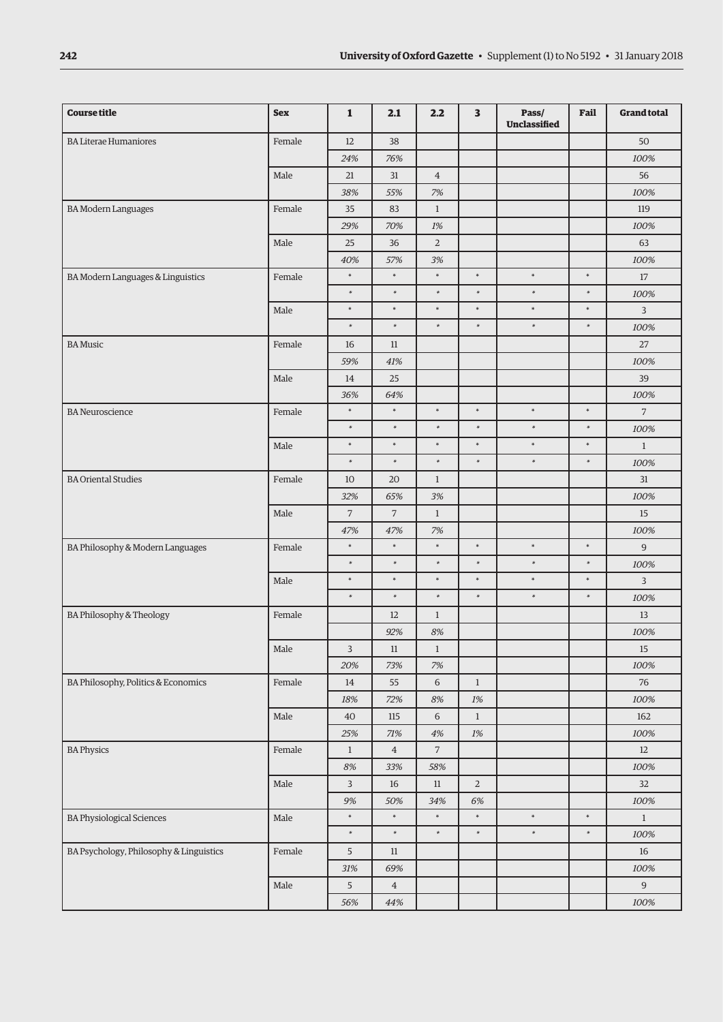| <b>Course title</b>                     | <b>Sex</b> | $\mathbf{1}$   | 2.1            | 2.2            | $\overline{\mathbf{3}}$ | Pass/<br>Unclassified | Fail   | <b>Grand total</b> |
|-----------------------------------------|------------|----------------|----------------|----------------|-------------------------|-----------------------|--------|--------------------|
| <b>BA Literae Humaniores</b>            | Female     | 12             | 38             |                |                         |                       |        | 50                 |
|                                         |            | 24%            | 76%            |                |                         |                       |        | 100%               |
|                                         | Male       | 21             | 31             | $\overline{4}$ |                         |                       |        | 56                 |
|                                         |            | 38%            | 55%            | 7%             |                         |                       |        | 100%               |
| <b>BA Modern Languages</b>              | Female     | 35             | 83             | $\mathbf{1}$   |                         |                       |        | 119                |
|                                         |            | 29%            | 70%            | $1\%$          |                         |                       |        | 100%               |
|                                         | Male       | 25             | 36             | $\overline{2}$ |                         |                       |        | 63                 |
|                                         |            | 40%            | 57%            | 3%             |                         |                       |        | 100%               |
| BA Modern Languages & Linguistics       | Female     | $\ast$         | $\ast$         | $\ast$         | $\ast$                  | $\ast$                | $\ast$ | 17                 |
|                                         |            | $\ast$         | $\ast$         | $\ast$         | $\ast$                  | $\ast$                | $\ast$ | 100%               |
|                                         | Male       | $\ast$         | $\ast$         | $\ast$         | $\ast$                  | $\ast$                | $\ast$ | $\overline{3}$     |
|                                         |            | $\ast$         | $\ast$         | $\ast$         | $\ast$                  | $\ast$                | $\ast$ | 100%               |
| <b>BA</b> Music                         | Female     | 16             | 11             |                |                         |                       |        | 27                 |
|                                         |            | 59%            | 41%            |                |                         |                       |        | 100%               |
|                                         | Male       | 14             | 25             |                |                         |                       |        | 39                 |
|                                         |            | 36%            | 64%            |                |                         |                       |        | 100%               |
| <b>BA</b> Neuroscience                  | Female     | $\ast$         | $\ast$         | $\ast$         | $\ast$                  | $\ast$                | $\ast$ | $\overline{7}$     |
|                                         |            | $\ast$         | $\ast$         | $\ast$         | $\ast$                  | $\ast$                | $\ast$ | 100%               |
|                                         | Male       | $\ast$         | $\ast$         | $\ast$         | $\ast$                  | $\ast$                | $\ast$ | $\mathbf{1}$       |
|                                         |            | $\ast$         | $\ast$         | $\ast$         | $\ast$                  | $\ast$                | $\ast$ | 100%               |
| <b>BA Oriental Studies</b>              | Female     | 10             | 20             | $\mathbf{1}$   |                         |                       |        | 31                 |
|                                         |            | 32%            | 65%            | 3%             |                         |                       |        | 100%               |
|                                         | Male       | $\overline{7}$ | $\overline{7}$ | $\mathbf{1}$   |                         |                       |        | 15                 |
|                                         |            | 47%            | 47%            | 7%             |                         |                       |        | 100%               |
| BA Philosophy & Modern Languages        | Female     | $\ast$         | $\ast$         | $\ast$         | $\ast$                  | $\ast$                | $\ast$ | 9                  |
|                                         |            | $\ast$         | $\ast$         | $\ast$         | $\ast$                  | $\ast$                | $\ast$ | 100%               |
|                                         | Male       | $\ast$         | $\ast$         | $\ast$         | $\ast$                  | $\ast$                | $\ast$ | 3                  |
|                                         |            | $\ast$         | $\ast$         | $\ast$         | $\ast$                  | $\ast$                | $\ast$ | 100%               |
| BA Philosophy & Theology                | Female     |                | 12             | $\mathbf{1}$   |                         |                       |        | $13\,$             |
|                                         |            |                | 92%            | $8\%$          |                         |                       |        | 100%               |
|                                         | Male       | 3              | $11\,$         | $\mathbf{1}$   |                         |                       |        | 15                 |
|                                         |            | 20%            | 73%            | $7\%$          |                         |                       |        | 100%               |
| BA Philosophy, Politics & Economics     | Female     | 14             | 55             | $\,$ 6 $\,$    | $\,1$                   |                       |        | 76                 |
|                                         |            | $18\%$         | 72%            | $8\%$          | 1%                      |                       |        | $100\%$            |
|                                         | Male       | 40             | $115\,$        | 6              | $\mathbf{1}$            |                       |        | 162                |
|                                         |            | $25\%$         | $71\%$         | $4\%$          | $1\%$                   |                       |        | 100%               |
| <b>BA Physics</b>                       | Female     | $\mathbf{1}$   | $\,4$          | $\sqrt{7}$     |                         |                       |        | 12                 |
|                                         |            | $8\%$          | 33%            | 58%            |                         |                       |        | 100%               |
|                                         | Male       | $\mathbf{3}$   | 16             | $11\,$         | $\overline{2}$          |                       |        | 32                 |
|                                         |            | $9\%$          | 50%            | $34\%$         | $6\%$                   |                       |        | $100\%$            |
| <b>BA Physiological Sciences</b>        | $\rm Male$ | $\ast$         | $\ast$         | $\ast$         | $\ast$                  | $\ast$                | $\ast$ | $\mathbf{1}$       |
|                                         |            | $\ast$         | $\ast$         | $\ast$         | $\ast$                  | $\ast$                | $\ast$ | $100\%$            |
| BA Psychology, Philosophy & Linguistics | Female     | 5              | $11\,$         |                |                         |                       |        | 16                 |
|                                         |            | $31\%$         | 69%            |                |                         |                       |        | $100\%$            |
|                                         | $\rm Male$ | 5              | $\bf{4}$       |                |                         |                       |        | 9                  |
|                                         |            | 56%            | 44%            |                |                         |                       |        | $100\%$            |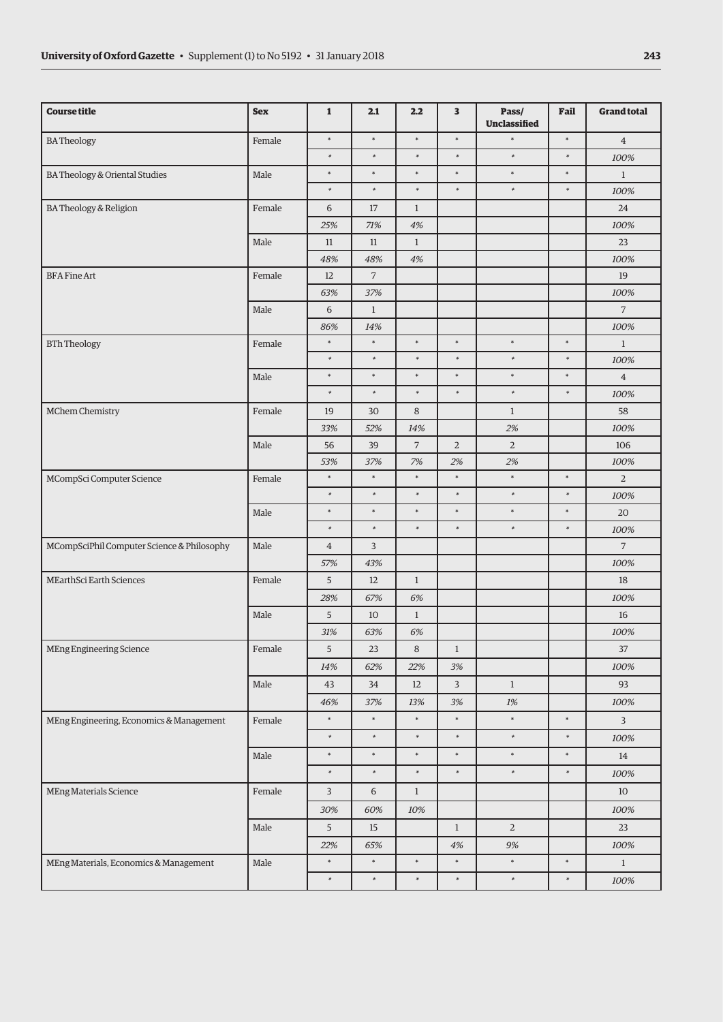| <b>Course title</b>                        | <b>Sex</b> | $\mathbf{1}$   | 2.1            | 2.2            | 3              | Pass/<br><b>Unclassified</b> | Fail    | <b>Grand total</b> |
|--------------------------------------------|------------|----------------|----------------|----------------|----------------|------------------------------|---------|--------------------|
| <b>BATheology</b>                          | Female     | $\ast$         | $\ast$         | $\ast$         | $\ast$         | $\ast$                       | $\ast$  | $\overline{4}$     |
|                                            |            | $\ast$         | $\ast$         | $\ast$         | $\ast$         | $\ast$                       | $\ast$  | 100%               |
| BA Theology & Oriental Studies             | Male       | $\ast$         | $\ast$         | $\ast$         | $\ast$         | $\ast$                       | $\ast$  | $\mathbf{1}$       |
|                                            |            | $\ast$         | $\ast$         | $\ast$         | $\ast$         | $\ast$                       | $\ast$  | 100%               |
| BA Theology & Religion                     | Female     | 6              | $17\,$         | $\mathbf{1}$   |                |                              |         | 24                 |
|                                            |            | 25%            | 71%            | $4\%$          |                |                              |         | 100%               |
|                                            | Male       | $11\,$         | $11\,$         | $\mathbf{1}$   |                |                              |         | 23                 |
|                                            |            | 48%            | 48%            | $4\%$          |                |                              |         | 100%               |
| <b>BFA Fine Art</b>                        | Female     | 12             | $\overline{7}$ |                |                |                              |         | 19                 |
|                                            |            | 63%            | 37%            |                |                |                              |         | 100%               |
|                                            | Male       | $\,$ 6 $\,$    | $\mathbf{1}$   |                |                |                              |         | $\overline{7}$     |
|                                            |            | 86%            | 14%            |                |                |                              |         | 100%               |
| <b>BTh Theology</b>                        | Female     | $\ast$         | $\ast$         | $\ast$         | $\ast$         | $\ast$                       | $\ast$  | $\mathbf{1}$       |
|                                            |            | $\ast$         | $\ast$         | $\ast$         | $\ast$         | $\ast$                       | $\ast$  | 100%               |
|                                            | Male       | $\ast$         | $\ast$         | $\ast$         | $\ast$         | $\ast$                       | $\ast$  | $\overline{4}$     |
|                                            |            | $\ast$         | $\ast$         | $\ast$         | $\ast$         | $\ast$                       | $\ast$  | 100%               |
| MChem Chemistry                            | Female     | 19             | 30             | $\,8\,$        |                | $\mathbf{1}$                 |         | 58                 |
|                                            |            | 33%            | 52%            | 14%            |                | 2%                           |         | 100%               |
|                                            | Male       | 56             | 39             | $\overline{7}$ | $\overline{2}$ | $\overline{2}$               |         | 106                |
|                                            |            | 53%            | 37%            | 7%             | 2%             | 2%                           |         | 100%               |
| MCompSci Computer Science                  | Female     | $\ast$         | $\ast$         | $\ast$         | $\ast$         | $\ast$                       | $\star$ | $\overline{2}$     |
|                                            |            | $\ast$         | $\ast$         | $\ast$         | $\ast$         | $\ast$                       | $\ast$  | 100%               |
|                                            | Male       | $\ast$         | $\ast$         | $\ast$         | $\ast$         | $\ast$                       | $\ast$  | 20                 |
|                                            |            | $\ast$         | $\ast$         | $\ast$         | $\ast$         | $\ast$                       | $\ast$  | 100%               |
| MCompSciPhil Computer Science & Philosophy | Male       | $\overline{4}$ | 3              |                |                |                              |         | $\overline{7}$     |
|                                            |            | 57%            | 43%            |                |                |                              |         | 100%               |
| MEarthSci Earth Sciences                   | Female     | 5              | 12             | $\mathbf{1}$   |                |                              |         | 18                 |
|                                            |            | 28%            | 67%            | 6%             |                |                              |         | 100%               |
|                                            | Male       | $\overline{5}$ | 10             | $1\,$          |                |                              |         | $16\,$             |
|                                            |            | 31%            | 63%            | 6%             |                |                              |         | 100%               |
| MEng Engineering Science                   | Female     | 5              | 23             | 8              | $\mathbf{1}$   |                              |         | 37                 |
|                                            |            | 14%            | 62%            | 22%            | $3\%$          |                              |         | 100%               |
|                                            | Male       | 43             | 34             | 12             | $\overline{3}$ | $\mathbf{1}$                 |         | 93                 |
|                                            |            | 46%            | 37%            | 13%            | $3\%$          | $1\%$                        |         | 100%               |
| MEng Engineering, Economics & Management   | Female     | $\ast$         | $\ast$         | $\ast$         | $\ast$         | $\ast$                       | $\ast$  | $\overline{3}$     |
|                                            |            | $\ast$         | $\ast$         | $\ast$         | $\ast$         | $\ast$                       | $\ast$  | 100%               |
|                                            | Male       | $\ast$         | $\ast$         | $\ast$         | $\ast$         | $\ast$                       | $\ast$  | 14                 |
|                                            |            | $\ast$         | $\ast$         | $\ast$         | $\ast$         | $\ast$                       | $\ast$  | 100%               |
| MEng Materials Science                     | Female     | $\overline{3}$ | $\sqrt{6}$     | $\mathbf{1}$   |                |                              |         | 10                 |
|                                            |            | 30%            | 60%            | 10%            |                |                              |         | 100%               |
|                                            | Male       | $\overline{5}$ | 15             |                | $\mathbf{1}$   | $\overline{a}$               |         | 23                 |
|                                            |            | 22%            | 65%            |                | $4\%$          | 9%                           |         | 100%               |
| MEng Materials, Economics & Management     | Male       | $\ast$         | $\ast$         | $\ast$         | $\ast$         | $\ast$                       | $\ast$  | $\mathbf{1}$       |
|                                            |            | $\ast$         | $\ast$         | $\ast$         | $\ast$         | $\ast$                       | $\ast$  | 100%               |
|                                            |            |                |                |                |                |                              |         |                    |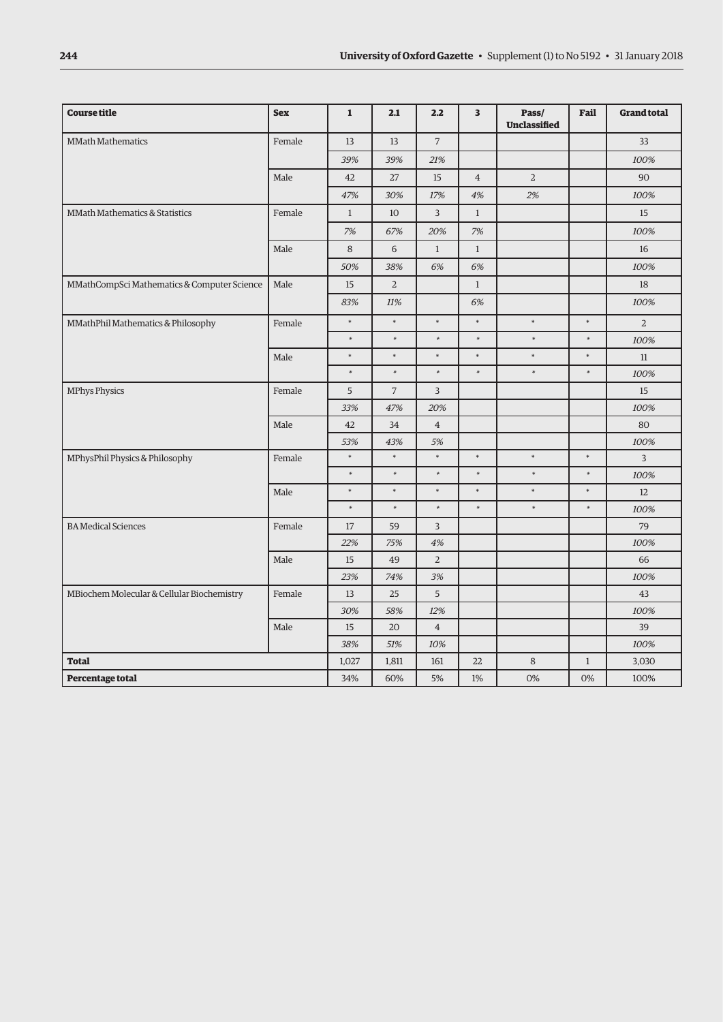| <b>Course title</b>                         | <b>Sex</b> | $\mathbf{1}$ | 2.1            | 2.2            | 3              | Pass/<br><b>Unclassified</b> | Fail         | <b>Grand total</b> |
|---------------------------------------------|------------|--------------|----------------|----------------|----------------|------------------------------|--------------|--------------------|
| <b>MMath Mathematics</b>                    | Female     | 13           | 13             | $\overline{7}$ |                |                              |              | 33                 |
|                                             |            | 39%          | 39%            | 21%            |                |                              |              | 100%               |
|                                             | Male       | 42           | 27             | 15             | $\overline{4}$ | $\overline{2}$               |              | 90                 |
|                                             |            | 47%          | 30%            | 17%            | 4%             | 2%                           |              | 100%               |
| <b>MMath Mathematics &amp; Statistics</b>   | Female     | $\mathbf{1}$ | 10             | 3              | $\mathbf{1}$   |                              |              | 15                 |
|                                             |            | 7%           | 67%            | 20%            | 7%             |                              |              | 100%               |
|                                             | Male       | 8            | 6              | $\mathbf{1}$   | $\mathbf{1}$   |                              |              | 16                 |
|                                             |            | 50%          | 38%            | 6%             | 6%             |                              |              | 100%               |
| MMathCompSci Mathematics & Computer Science | Male       | 15           | $\overline{2}$ |                | $\mathbf{1}$   |                              |              | 18                 |
|                                             |            | 83%          | 11%            |                | 6%             |                              |              | 100%               |
| MMathPhil Mathematics & Philosophy          | Female     | $\ast$       | $\ast$         | $\ast$         | $\ast$         | $\ast$                       | $\ast$       | $\overline{2}$     |
|                                             |            | $\ast$       | $\ast$         | $\ast$         | $\ast$         | $\ast$                       | $\ast$       | 100%               |
|                                             | Male       | $\ast$       | $\ast$         | $\ast$         | $\ast$         | $\ast$                       | $\ast$       | 11                 |
|                                             |            | $\ast$       | $\ast$         | $\ast$         | $\ast$         | $\ast$                       | $\ast$       | 100%               |
| <b>MPhys Physics</b>                        | Female     | 5            | $\overline{7}$ | $\overline{3}$ |                |                              |              | 15                 |
|                                             |            | 33%          | 47%            | 20%            |                |                              |              | 100%               |
|                                             | Male       | 42           | 34             | $\overline{4}$ |                |                              |              | 80                 |
|                                             |            | 53%          | 43%            | 5%             |                |                              |              | 100%               |
| MPhysPhil Physics & Philosophy              | Female     | $\ast$       | $\ast$         | $\ast$         | $\ast$         | $\ast$                       | $\ast$       | 3                  |
|                                             |            | $\ast$       | $\ast$         | $\ast$         | $\ast$         | $\ast$                       | $\ast$       | 100%               |
|                                             | Male       | $\ast$       | $\ast$         | $\ast$         | $\ast$         | $\ast$                       | $\ast$       | 12                 |
|                                             |            | $\ast$       | $\ast$         | $\ast$         | $\ast$         | $\ast$                       | $\ast$       | 100%               |
| <b>BA Medical Sciences</b>                  | Female     | 17           | 59             | 3              |                |                              |              | 79                 |
|                                             |            | 22%          | 75%            | 4%             |                |                              |              | 100%               |
|                                             | Male       | 15           | 49             | $\overline{2}$ |                |                              |              | 66                 |
|                                             |            | 23%          | 74%            | 3%             |                |                              |              | 100%               |
| MBiochem Molecular & Cellular Biochemistry  | Female     | 13           | 25             | 5              |                |                              |              | 43                 |
|                                             |            | 30%          | 58%            | 12%            |                |                              |              | 100%               |
|                                             | Male       | 15           | 20             | $\overline{4}$ |                |                              |              | 39                 |
|                                             |            | 38%          | 51%            | $10\%$         |                |                              |              | 100%               |
| <b>Total</b>                                |            | 1,027        | 1,811          | 161            | 22             | $\,8\,$                      | $\mathbf{1}$ | 3,030              |
| Percentage total                            |            | 34%          | 60%            | 5%             | 1%             | 0%                           | 0%           | 100%               |